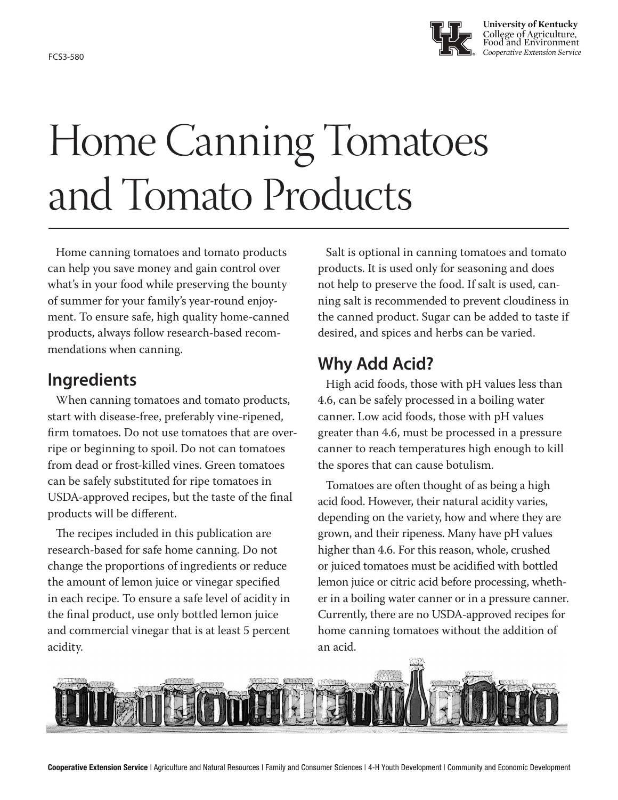

# Home Canning Tomatoes and Tomato Products

Home canning tomatoes and tomato products can help you save money and gain control over what's in your food while preserving the bounty of summer for your family's year-round enjoyment. To ensure safe, high quality home-canned products, always follow research-based recommendations when canning.

## **Ingredients**

When canning tomatoes and tomato products, start with disease-free, preferably vine-ripened, firm tomatoes. Do not use tomatoes that are overripe or beginning to spoil. Do not can tomatoes from dead or frost-killed vines. Green tomatoes can be safely substituted for ripe tomatoes in USDA-approved recipes, but the taste of the final products will be different.

The recipes included in this publication are research-based for safe home canning. Do not change the proportions of ingredients or reduce the amount of lemon juice or vinegar specified in each recipe. To ensure a safe level of acidity in the final product, use only bottled lemon juice and commercial vinegar that is at least 5 percent acidity.

Salt is optional in canning tomatoes and tomato products. It is used only for seasoning and does not help to preserve the food. If salt is used, canning salt is recommended to prevent cloudiness in the canned product. Sugar can be added to taste if desired, and spices and herbs can be varied.

## **Why Add Acid?**

High acid foods, those with pH values less than 4.6, can be safely processed in a boiling water canner. Low acid foods, those with pH values greater than 4.6, must be processed in a pressure canner to reach temperatures high enough to kill the spores that can cause botulism.

Tomatoes are often thought of as being a high acid food. However, their natural acidity varies, depending on the variety, how and where they are grown, and their ripeness. Many have pH values higher than 4.6. For this reason, whole, crushed or juiced tomatoes must be acidified with bottled lemon juice or citric acid before processing, whether in a boiling water canner or in a pressure canner. Currently, there are no USDA-approved recipes for home canning tomatoes without the addition of an acid.

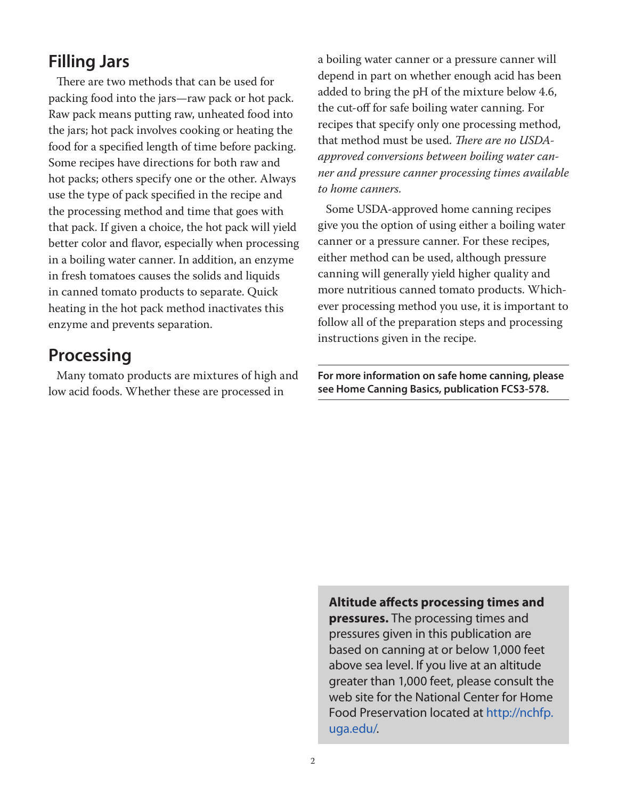## **Filling Jars**

There are two methods that can be used for packing food into the jars—raw pack or hot pack. Raw pack means putting raw, unheated food into the jars; hot pack involves cooking or heating the food for a specified length of time before packing. Some recipes have directions for both raw and hot packs; others specify one or the other. Always use the type of pack specified in the recipe and the processing method and time that goes with that pack. If given a choice, the hot pack will yield better color and flavor, especially when processing in a boiling water canner. In addition, an enzyme in fresh tomatoes causes the solids and liquids in canned tomato products to separate. Quick heating in the hot pack method inactivates this enzyme and prevents separation.

## **Processing**

Many tomato products are mixtures of high and low acid foods. Whether these are processed in

a boiling water canner or a pressure canner will depend in part on whether enough acid has been added to bring the pH of the mixture below 4.6, the cut-off for safe boiling water canning. For recipes that specify only one processing method, that method must be used. *There are no USDAapproved conversions between boiling water canner and pressure canner processing times available to home canners.*

Some USDA-approved home canning recipes give you the option of using either a boiling water canner or a pressure canner. For these recipes, either method can be used, although pressure canning will generally yield higher quality and more nutritious canned tomato products. Whichever processing method you use, it is important to follow all of the preparation steps and processing instructions given in the recipe.

**For more information on safe home canning, please see Home Canning Basics, publication FCS3-578.**

**Altitude affects processing times and pressures.** The processing times and pressures given in this publication are based on canning at or below 1,000 feet above sea level. If you live at an altitude greater than 1,000 feet, please consult the web site for the National Center for Home Food Preservation located at http://nchfp. uga.edu/.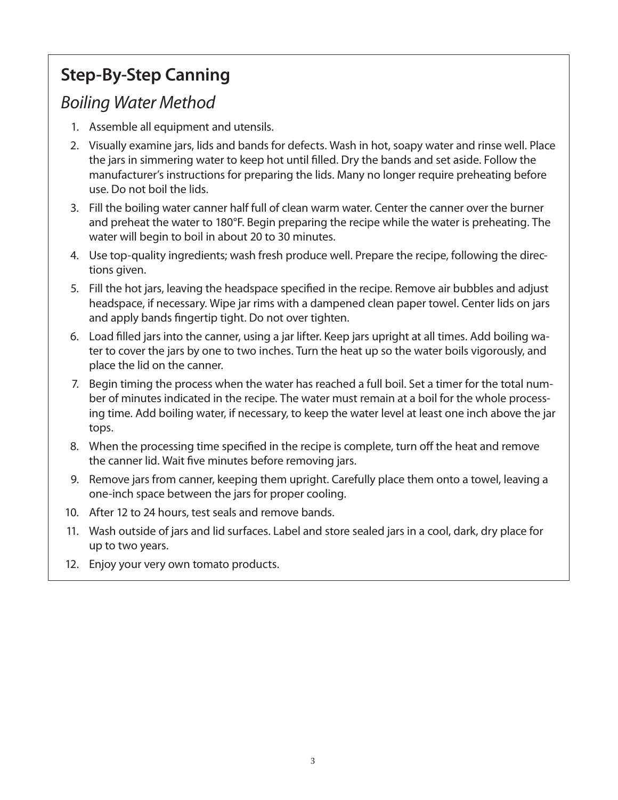## **Step-By-Step Canning**

## *Boiling Water Method*

- 1. Assemble all equipment and utensils.
- 2. Visually examine jars, lids and bands for defects. Wash in hot, soapy water and rinse well. Place the jars in simmering water to keep hot until filled. Dry the bands and set aside. Follow the manufacturer's instructions for preparing the lids. Many no longer require preheating before use. Do not boil the lids.
- 3. Fill the boiling water canner half full of clean warm water. Center the canner over the burner and preheat the water to 180°F. Begin preparing the recipe while the water is preheating. The water will begin to boil in about 20 to 30 minutes.
- 4. Use top-quality ingredients; wash fresh produce well. Prepare the recipe, following the directions given.
- 5. Fill the hot jars, leaving the headspace specified in the recipe. Remove air bubbles and adjust headspace, if necessary. Wipe jar rims with a dampened clean paper towel. Center lids on jars and apply bands fingertip tight. Do not over tighten.
- 6. Load filled jars into the canner, using a jar lifter. Keep jars upright at all times. Add boiling water to cover the jars by one to two inches. Turn the heat up so the water boils vigorously, and place the lid on the canner.
- 7. Begin timing the process when the water has reached a full boil. Set a timer for the total number of minutes indicated in the recipe. The water must remain at a boil for the whole processing time. Add boiling water, if necessary, to keep the water level at least one inch above the jar tops.
- 8. When the processing time specified in the recipe is complete, turn off the heat and remove the canner lid. Wait five minutes before removing jars.
- 9. Remove jars from canner, keeping them upright. Carefully place them onto a towel, leaving a one-inch space between the jars for proper cooling.
- 10. After 12 to 24 hours, test seals and remove bands.
- 11. Wash outside of jars and lid surfaces. Label and store sealed jars in a cool, dark, dry place for up to two years.
- 12. Enjoy your very own tomato products.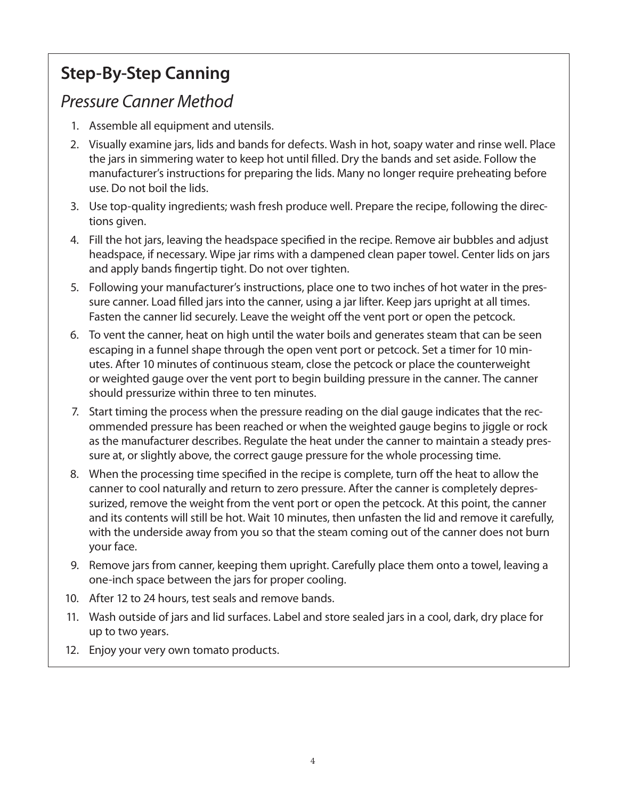## **Step-By-Step Canning**

## *Pressure Canner Method*

- 1. Assemble all equipment and utensils.
- 2. Visually examine jars, lids and bands for defects. Wash in hot, soapy water and rinse well. Place the jars in simmering water to keep hot until filled. Dry the bands and set aside. Follow the manufacturer's instructions for preparing the lids. Many no longer require preheating before use. Do not boil the lids.
- 3. Use top-quality ingredients; wash fresh produce well. Prepare the recipe, following the directions given.
- 4. Fill the hot jars, leaving the headspace specified in the recipe. Remove air bubbles and adjust headspace, if necessary. Wipe jar rims with a dampened clean paper towel. Center lids on jars and apply bands fingertip tight. Do not over tighten.
- 5. Following your manufacturer's instructions, place one to two inches of hot water in the pressure canner. Load filled jars into the canner, using a jar lifter. Keep jars upright at all times. Fasten the canner lid securely. Leave the weight off the vent port or open the petcock.
- 6. To vent the canner, heat on high until the water boils and generates steam that can be seen escaping in a funnel shape through the open vent port or petcock. Set a timer for 10 minutes. After 10 minutes of continuous steam, close the petcock or place the counterweight or weighted gauge over the vent port to begin building pressure in the canner. The canner should pressurize within three to ten minutes.
- 7. Start timing the process when the pressure reading on the dial gauge indicates that the recommended pressure has been reached or when the weighted gauge begins to jiggle or rock as the manufacturer describes. Regulate the heat under the canner to maintain a steady pressure at, or slightly above, the correct gauge pressure for the whole processing time.
- 8. When the processing time specified in the recipe is complete, turn off the heat to allow the canner to cool naturally and return to zero pressure. After the canner is completely depressurized, remove the weight from the vent port or open the petcock. At this point, the canner and its contents will still be hot. Wait 10 minutes, then unfasten the lid and remove it carefully, with the underside away from you so that the steam coming out of the canner does not burn your face.
- 9. Remove jars from canner, keeping them upright. Carefully place them onto a towel, leaving a one-inch space between the jars for proper cooling.
- 10. After 12 to 24 hours, test seals and remove bands.
- 11. Wash outside of jars and lid surfaces. Label and store sealed jars in a cool, dark, dry place for up to two years.
- 12. Enjoy your very own tomato products.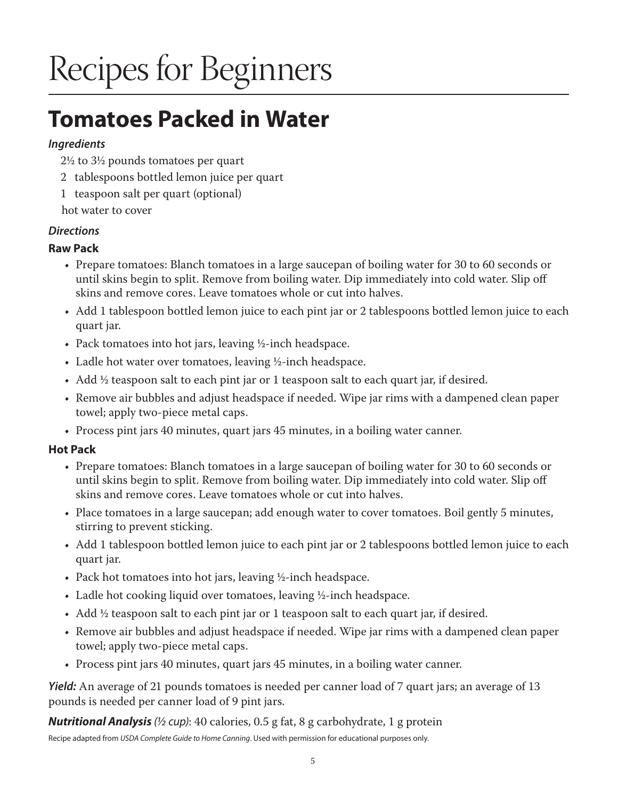# Recipes for Beginners

## **Tomatoes Packed in Water**

#### *Ingredients*

- 2½ to 3½ pounds tomatoes per quart
- 2 tablespoons bottled lemon juice per quart
- 1 teaspoon salt per quart (optional)
- hot water to cover

### *Directions*

### **Raw Pack**

- Prepare tomatoes: Blanch tomatoes in a large saucepan of boiling water for 30 to 60 seconds or until skins begin to split. Remove from boiling water. Dip immediately into cold water. Slip off skins and remove cores. Leave tomatoes whole or cut into halves.
- Add 1 tablespoon bottled lemon juice to each pint jar or 2 tablespoons bottled lemon juice to each quart jar.
- Pack tomatoes into hot jars, leaving ½-inch headspace.
- Ladle hot water over tomatoes, leaving ½-inch headspace.
- Add ½ teaspoon salt to each pint jar or 1 teaspoon salt to each quart jar, if desired.
- Remove air bubbles and adjust headspace if needed. Wipe jar rims with a dampened clean paper towel; apply two-piece metal caps.
- Process pint jars 40 minutes, quart jars 45 minutes, in a boiling water canner.

### **Hot Pack**

- Prepare tomatoes: Blanch tomatoes in a large saucepan of boiling water for 30 to 60 seconds or until skins begin to split. Remove from boiling water. Dip immediately into cold water. Slip off skins and remove cores. Leave tomatoes whole or cut into halves.
- Place tomatoes in a large saucepan; add enough water to cover tomatoes. Boil gently 5 minutes, stirring to prevent sticking.
- Add 1 tablespoon bottled lemon juice to each pint jar or 2 tablespoons bottled lemon juice to each quart jar.
- Pack hot tomatoes into hot jars, leaving ½-inch headspace.
- Ladle hot cooking liquid over tomatoes, leaving ½-inch headspace.
- Add  $\frac{1}{2}$  teaspoon salt to each pint jar or 1 teaspoon salt to each quart jar, if desired.
- Remove air bubbles and adjust headspace if needed. Wipe jar rims with a dampened clean paper towel; apply two-piece metal caps.
- Process pint jars 40 minutes, quart jars 45 minutes, in a boiling water canner.

*Yield:* An average of 21 pounds tomatoes is needed per canner load of 7 quart jars; an average of 13 pounds is needed per canner load of 9 pint jars.

*Nutritional Analysis (½ cup)*: 40 calories, 0.5 g fat, 8 g carbohydrate, 1 g protein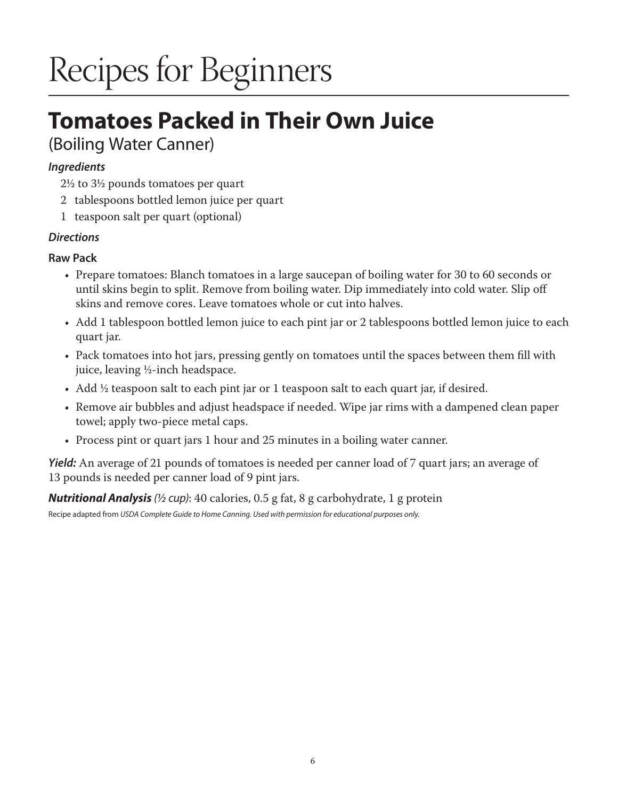# Recipes for Beginners

## **Tomatoes Packed in Their Own Juice**  (Boiling Water Canner)

#### *Ingredients*

2½ to 3½ pounds tomatoes per quart

- 2 tablespoons bottled lemon juice per quart
- 1 teaspoon salt per quart (optional)

#### *Directions*

#### **Raw Pack**

- Prepare tomatoes: Blanch tomatoes in a large saucepan of boiling water for 30 to 60 seconds or until skins begin to split. Remove from boiling water. Dip immediately into cold water. Slip off skins and remove cores. Leave tomatoes whole or cut into halves.
- Add 1 tablespoon bottled lemon juice to each pint jar or 2 tablespoons bottled lemon juice to each quart jar.
- Pack tomatoes into hot jars, pressing gently on tomatoes until the spaces between them fill with juice, leaving ½-inch headspace.
- Add  $\frac{1}{2}$  teaspoon salt to each pint jar or 1 teaspoon salt to each quart jar, if desired.
- Remove air bubbles and adjust headspace if needed. Wipe jar rims with a dampened clean paper towel; apply two-piece metal caps.
- Process pint or quart jars 1 hour and 25 minutes in a boiling water canner.

*Yield:* An average of 21 pounds of tomatoes is needed per canner load of 7 quart jars; an average of 13 pounds is needed per canner load of 9 pint jars.

*Nutritional Analysis (½ cup)*: 40 calories, 0.5 g fat, 8 g carbohydrate, 1 g protein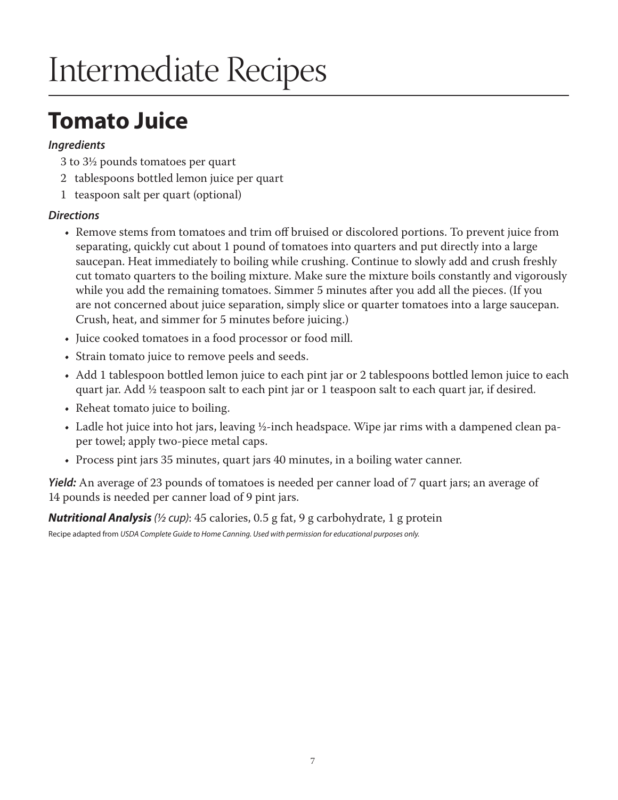## **Tomato Juice**

#### *Ingredients*

- 3 to 3½ pounds tomatoes per quart
- 2 tablespoons bottled lemon juice per quart
- 1 teaspoon salt per quart (optional)

### *Directions*

- Remove stems from tomatoes and trim off bruised or discolored portions. To prevent juice from separating, quickly cut about 1 pound of tomatoes into quarters and put directly into a large saucepan. Heat immediately to boiling while crushing. Continue to slowly add and crush freshly cut tomato quarters to the boiling mixture. Make sure the mixture boils constantly and vigorously while you add the remaining tomatoes. Simmer 5 minutes after you add all the pieces. (If you are not concerned about juice separation, simply slice or quarter tomatoes into a large saucepan. Crush, heat, and simmer for 5 minutes before juicing.)
- Juice cooked tomatoes in a food processor or food mill.
- Strain tomato juice to remove peels and seeds.
- Add 1 tablespoon bottled lemon juice to each pint jar or 2 tablespoons bottled lemon juice to each quart jar. Add ½ teaspoon salt to each pint jar or 1 teaspoon salt to each quart jar, if desired.
- Reheat tomato juice to boiling.
- Ladle hot juice into hot jars, leaving ½-inch headspace. Wipe jar rims with a dampened clean paper towel; apply two-piece metal caps.
- Process pint jars 35 minutes, quart jars 40 minutes, in a boiling water canner.

*Yield:* An average of 23 pounds of tomatoes is needed per canner load of 7 quart jars; an average of 14 pounds is needed per canner load of 9 pint jars.

*Nutritional Analysis (½ cup)*: 45 calories, 0.5 g fat, 9 g carbohydrate, 1 g protein Recipe adapted from *USDA Complete Guide to Home Canning. Used with permission for educational purposes only.*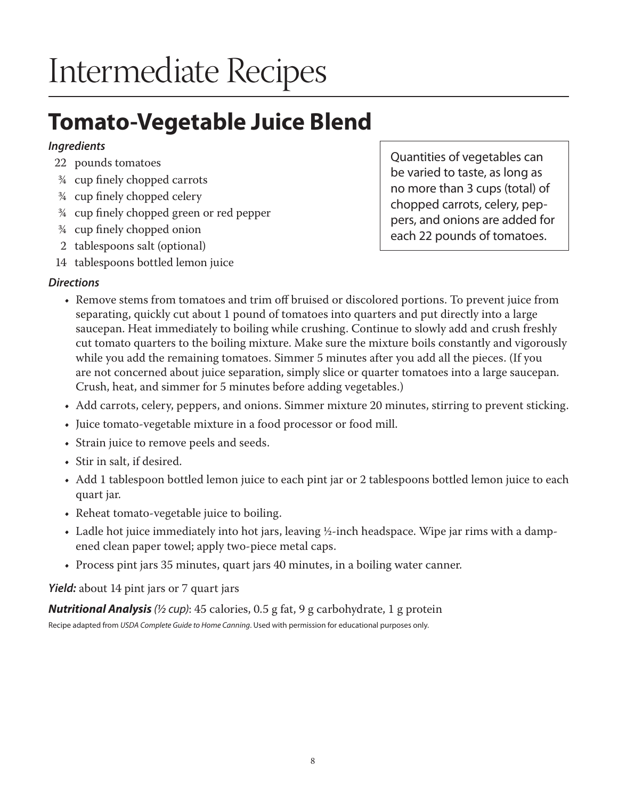## **Tomato-Vegetable Juice Blend**

### *Ingredients*

- 22 pounds tomatoes
- ¾ cup finely chopped carrots
- ¾ cup finely chopped celery
- ¾ cup finely chopped green or red pepper
- ¾ cup finely chopped onion
- 2 tablespoons salt (optional)
- 14 tablespoons bottled lemon juice

## *Directions*

- Quantities of vegetables can be varied to taste, as long as no more than 3 cups (total) of chopped carrots, celery, peppers, and onions are added for each 22 pounds of tomatoes.
- Remove stems from tomatoes and trim off bruised or discolored portions. To prevent juice from separating, quickly cut about 1 pound of tomatoes into quarters and put directly into a large saucepan. Heat immediately to boiling while crushing. Continue to slowly add and crush freshly cut tomato quarters to the boiling mixture. Make sure the mixture boils constantly and vigorously while you add the remaining tomatoes. Simmer 5 minutes after you add all the pieces. (If you are not concerned about juice separation, simply slice or quarter tomatoes into a large saucepan. Crush, heat, and simmer for 5 minutes before adding vegetables.)
- Add carrots, celery, peppers, and onions. Simmer mixture 20 minutes, stirring to prevent sticking.
- Juice tomato-vegetable mixture in a food processor or food mill.
- Strain juice to remove peels and seeds.
- Stir in salt, if desired.
- Add 1 tablespoon bottled lemon juice to each pint jar or 2 tablespoons bottled lemon juice to each quart jar.
- Reheat tomato-vegetable juice to boiling.
- Ladle hot juice immediately into hot jars, leaving ½-inch headspace. Wipe jar rims with a dampened clean paper towel; apply two-piece metal caps.
- Process pint jars 35 minutes, quart jars 40 minutes, in a boiling water canner.

*Yield:* about 14 pint jars or 7 quart jars

*Nutritional Analysis (½ cup)*: 45 calories, 0.5 g fat, 9 g carbohydrate, 1 g protein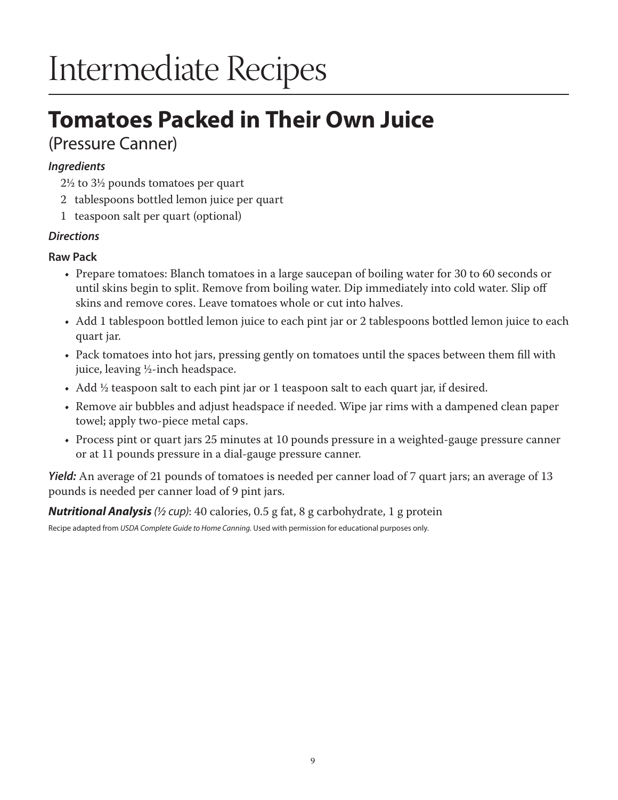## **Tomatoes Packed in Their Own Juice**  (Pressure Canner)

## *Ingredients*

2½ to 3½ pounds tomatoes per quart

- 2 tablespoons bottled lemon juice per quart
- 1 teaspoon salt per quart (optional)

### *Directions*

#### **Raw Pack**

- Prepare tomatoes: Blanch tomatoes in a large saucepan of boiling water for 30 to 60 seconds or until skins begin to split. Remove from boiling water. Dip immediately into cold water. Slip off skins and remove cores. Leave tomatoes whole or cut into halves.
- Add 1 tablespoon bottled lemon juice to each pint jar or 2 tablespoons bottled lemon juice to each quart jar.
- Pack tomatoes into hot jars, pressing gently on tomatoes until the spaces between them fill with juice, leaving ½-inch headspace.
- Add <sup>1</sup>/<sub>2</sub> teaspoon salt to each pint jar or 1 teaspoon salt to each quart jar, if desired.
- Remove air bubbles and adjust headspace if needed. Wipe jar rims with a dampened clean paper towel; apply two-piece metal caps.
- Process pint or quart jars 25 minutes at 10 pounds pressure in a weighted-gauge pressure canner or at 11 pounds pressure in a dial-gauge pressure canner.

*Yield:* An average of 21 pounds of tomatoes is needed per canner load of 7 quart jars; an average of 13 pounds is needed per canner load of 9 pint jars.

*Nutritional Analysis (½ cup)*: 40 calories, 0.5 g fat, 8 g carbohydrate, 1 g protein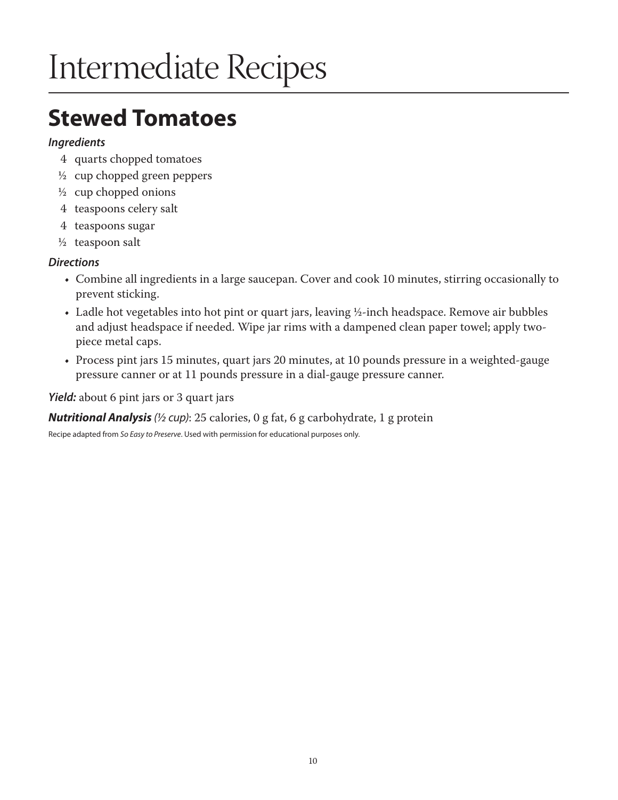## **Stewed Tomatoes**

#### *Ingredients*

- 4 quarts chopped tomatoes
- ½ cup chopped green peppers
- $\frac{1}{2}$  cup chopped onions
- 4 teaspoons celery salt
- 4 teaspoons sugar
- $\frac{1}{2}$  teaspoon salt

#### *Directions*

- Combine all ingredients in a large saucepan. Cover and cook 10 minutes, stirring occasionally to prevent sticking.
- Ladle hot vegetables into hot pint or quart jars, leaving ½-inch headspace. Remove air bubbles and adjust headspace if needed. Wipe jar rims with a dampened clean paper towel; apply twopiece metal caps.
- Process pint jars 15 minutes, quart jars 20 minutes, at 10 pounds pressure in a weighted-gauge pressure canner or at 11 pounds pressure in a dial-gauge pressure canner.

*Yield:* about 6 pint jars or 3 quart jars

*Nutritional Analysis (½ cup)*: 25 calories, 0 g fat, 6 g carbohydrate, 1 g protein

Recipe adapted from *So Easy to Preserve*. Used with permission for educational purposes only.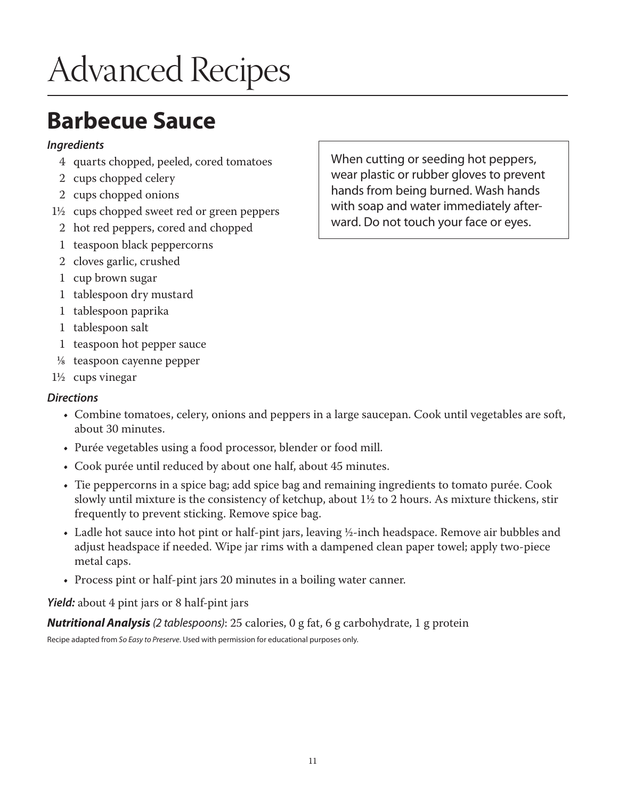# Advanced Recipes

## **Barbecue Sauce**

#### *Ingredients*

- 4 quarts chopped, peeled, cored tomatoes
- 2 cups chopped celery
- 2 cups chopped onions
- 1½ cups chopped sweet red or green peppers
	- 2 hot red peppers, cored and chopped
	- 1 teaspoon black peppercorns
	- 2 cloves garlic, crushed
	- 1 cup brown sugar
	- 1 tablespoon dry mustard
	- 1 tablespoon paprika
	- 1 tablespoon salt
	- 1 teaspoon hot pepper sauce
- 1/8 teaspoon cayenne pepper
- 1½ cups vinegar

### *Directions*

- Combine tomatoes, celery, onions and peppers in a large saucepan. Cook until vegetables are soft, about 30 minutes.
- Purée vegetables using a food processor, blender or food mill.
- Cook purée until reduced by about one half, about 45 minutes.
- Tie peppercorns in a spice bag; add spice bag and remaining ingredients to tomato purée. Cook slowly until mixture is the consistency of ketchup, about 1½ to 2 hours. As mixture thickens, stir frequently to prevent sticking. Remove spice bag.
- Ladle hot sauce into hot pint or half-pint jars, leaving ½-inch headspace. Remove air bubbles and adjust headspace if needed. Wipe jar rims with a dampened clean paper towel; apply two-piece metal caps.
- Process pint or half-pint jars 20 minutes in a boiling water canner.

*Yield:* about 4 pint jars or 8 half-pint jars

*Nutritional Analysis (2 tablespoons)*: 25 calories, 0 g fat, 6 g carbohydrate, 1 g protein

Recipe adapted from *So Easy to Preserve*. Used with permission for educational purposes only.

When cutting or seeding hot peppers, wear plastic or rubber gloves to prevent hands from being burned. Wash hands with soap and water immediately afterward. Do not touch your face or eyes.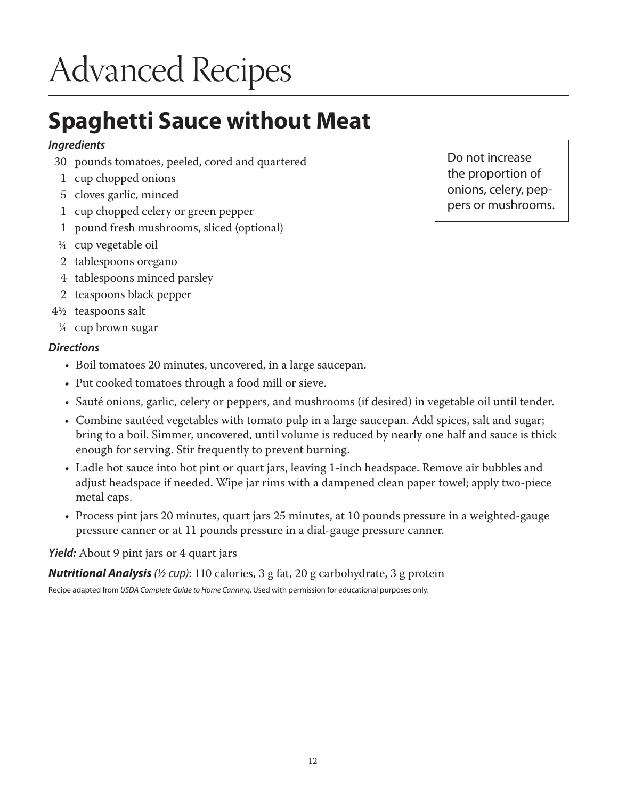# Advanced Recipes

## **Spaghetti Sauce without Meat**

### *Ingredients*

- 30 pounds tomatoes, peeled, cored and quartered
- 1 cup chopped onions
- 5 cloves garlic, minced
- 1 cup chopped celery or green pepper
- 1 pound fresh mushrooms, sliced (optional)
- ¼ cup vegetable oil
- 2 tablespoons oregano
- 4 tablespoons minced parsley
- 2 teaspoons black pepper
- 4½ teaspoons salt
- ¼ cup brown sugar

#### *Directions*

- Boil tomatoes 20 minutes, uncovered, in a large saucepan.
- Put cooked tomatoes through a food mill or sieve.
- Sauté onions, garlic, celery or peppers, and mushrooms (if desired) in vegetable oil until tender.
- Combine sautéed vegetables with tomato pulp in a large saucepan. Add spices, salt and sugar; bring to a boil. Simmer, uncovered, until volume is reduced by nearly one half and sauce is thick enough for serving. Stir frequently to prevent burning.
- Ladle hot sauce into hot pint or quart jars, leaving 1-inch headspace. Remove air bubbles and adjust headspace if needed. Wipe jar rims with a dampened clean paper towel; apply two-piece metal caps.
- Process pint jars 20 minutes, quart jars 25 minutes, at 10 pounds pressure in a weighted-gauge pressure canner or at 11 pounds pressure in a dial-gauge pressure canner.

### *Yield:* About 9 pint jars or 4 quart jars

*Nutritional Analysis (½ cup)*: 110 calories, 3 g fat, 20 g carbohydrate, 3 g protein

Recipe adapted from *USDA Complete Guide to Home Canning.* Used with permission for educational purposes only.

Do not increase the proportion of onions, celery, peppers or mushrooms.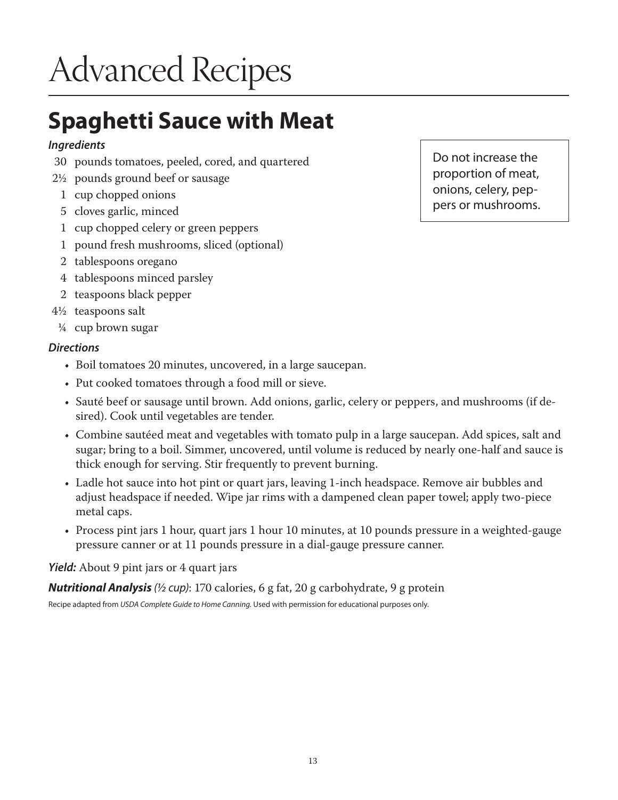# Advanced Recipes

## **Spaghetti Sauce with Meat**

### *Ingredients*

- 30 pounds tomatoes, peeled, cored, and quartered
- 2½ pounds ground beef or sausage
	- 1 cup chopped onions
	- 5 cloves garlic, minced
	- 1 cup chopped celery or green peppers
	- 1 pound fresh mushrooms, sliced (optional)
	- 2 tablespoons oregano
	- 4 tablespoons minced parsley
	- 2 teaspoons black pepper
- 4½ teaspoons salt
- ¼ cup brown sugar

#### *Directions*

- Boil tomatoes 20 minutes, uncovered, in a large saucepan.
- Put cooked tomatoes through a food mill or sieve.
- Sauté beef or sausage until brown. Add onions, garlic, celery or peppers, and mushrooms (if desired). Cook until vegetables are tender.
- Combine sautéed meat and vegetables with tomato pulp in a large saucepan. Add spices, salt and sugar; bring to a boil. Simmer, uncovered, until volume is reduced by nearly one-half and sauce is thick enough for serving. Stir frequently to prevent burning.
- Ladle hot sauce into hot pint or quart jars, leaving 1-inch headspace. Remove air bubbles and adjust headspace if needed. Wipe jar rims with a dampened clean paper towel; apply two-piece metal caps.
- Process pint jars 1 hour, quart jars 1 hour 10 minutes, at 10 pounds pressure in a weighted-gauge pressure canner or at 11 pounds pressure in a dial-gauge pressure canner.

#### *Yield:* About 9 pint jars or 4 quart jars

*Nutritional Analysis (½ cup)*: 170 calories, 6 g fat, 20 g carbohydrate, 9 g protein

Recipe adapted from *USDA Complete Guide to Home Canning.* Used with permission for educational purposes only.

Do not increase the proportion of meat, onions, celery, peppers or mushrooms.